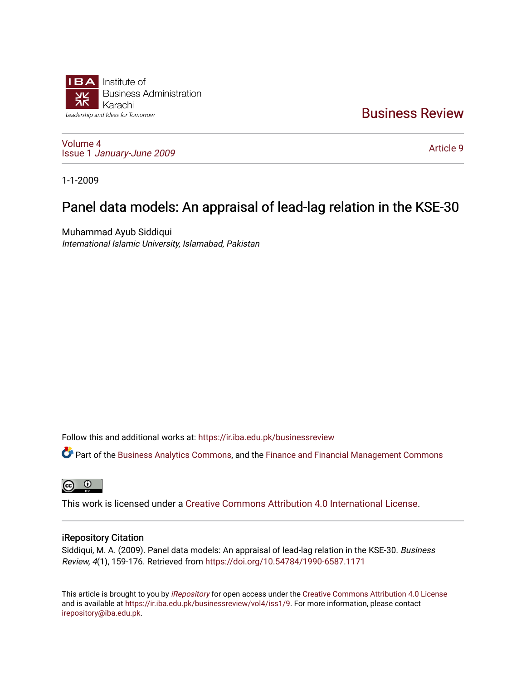

[Business Review](https://ir.iba.edu.pk/businessreview) 

[Volume 4](https://ir.iba.edu.pk/businessreview/vol4) Issue 1 [January-June 2009](https://ir.iba.edu.pk/businessreview/vol4/iss1) 

[Article 9](https://ir.iba.edu.pk/businessreview/vol4/iss1/9) 

1-1-2009

# Panel data models: An appraisal of lead-lag relation in the KSE-30

Muhammad Ayub Siddiqui International Islamic University, Islamabad, Pakistan

Follow this and additional works at: [https://ir.iba.edu.pk/businessreview](https://ir.iba.edu.pk/businessreview?utm_source=ir.iba.edu.pk%2Fbusinessreview%2Fvol4%2Fiss1%2F9&utm_medium=PDF&utm_campaign=PDFCoverPages) 

Part of the [Business Analytics Commons](http://network.bepress.com/hgg/discipline/1398?utm_source=ir.iba.edu.pk%2Fbusinessreview%2Fvol4%2Fiss1%2F9&utm_medium=PDF&utm_campaign=PDFCoverPages), and the [Finance and Financial Management Commons](http://network.bepress.com/hgg/discipline/631?utm_source=ir.iba.edu.pk%2Fbusinessreview%2Fvol4%2Fiss1%2F9&utm_medium=PDF&utm_campaign=PDFCoverPages) 

**ම** 

This work is licensed under a [Creative Commons Attribution 4.0 International License](https://creativecommons.org/licenses/by/4.0/).

# iRepository Citation

Siddiqui, M. A. (2009). Panel data models: An appraisal of lead-lag relation in the KSE-30. Business Review, 4(1), 159-176. Retrieved from<https://doi.org/10.54784/1990-6587.1171>

This article is brought to you by [iRepository](https://ir.iba.edu.pk/) for open access under the Creative Commons Attribution 4.0 License and is available at [https://ir.iba.edu.pk/businessreview/vol4/iss1/9.](https://ir.iba.edu.pk/businessreview/vol4/iss1/9) For more information, please contact [irepository@iba.edu.pk.](mailto:irepository@iba.edu.pk)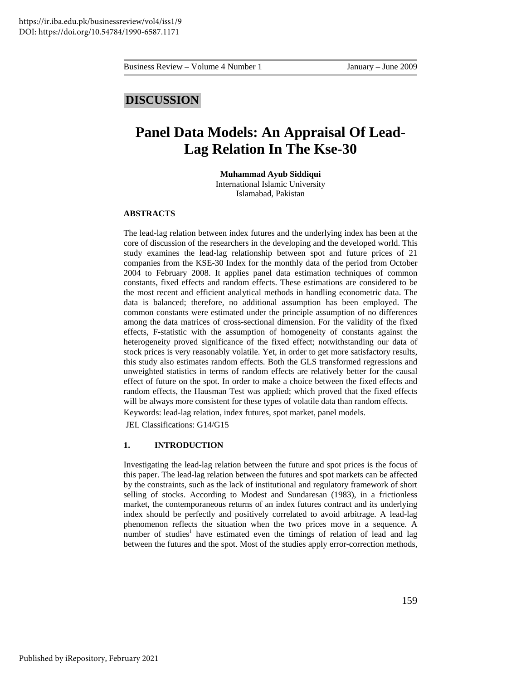# **DISCUSSION**

# **Panel Data Models: An Appraisal Of Lead-Lag Relation In The Kse-30**

**Muhammad Ayub Siddiqui** 

International Islamic University Islamabad, Pakistan

#### **ABSTRACTS**

The lead-lag relation between index futures and the underlying index has been at the core of discussion of the researchers in the developing and the developed world. This study examines the lead-lag relationship between spot and future prices of 21 companies from the KSE-30 Index for the monthly data of the period from October 2004 to February 2008. It applies panel data estimation techniques of common constants, fixed effects and random effects. These estimations are considered to be the most recent and efficient analytical methods in handling econometric data. The data is balanced; therefore, no additional assumption has been employed. The common constants were estimated under the principle assumption of no differences among the data matrices of cross-sectional dimension. For the validity of the fixed effects, F-statistic with the assumption of homogeneity of constants against the heterogeneity proved significance of the fixed effect; notwithstanding our data of stock prices is very reasonably volatile. Yet, in order to get more satisfactory results, this study also estimates random effects. Both the GLS transformed regressions and unweighted statistics in terms of random effects are relatively better for the causal effect of future on the spot. In order to make a choice between the fixed effects and random effects, the Hausman Test was applied; which proved that the fixed effects will be always more consistent for these types of volatile data than random effects. Keywords: lead-lag relation, index futures, spot market, panel models.

JEL Classifications: G14/G15

#### **1. INTRODUCTION**

Investigating the lead-lag relation between the future and spot prices is the focus of this paper. The lead-lag relation between the futures and spot markets can be affected by the constraints, such as the lack of institutional and regulatory framework of short selling of stocks. According to Modest and Sundaresan (1983), in a frictionless market, the contemporaneous returns of an index futures contract and its underlying index should be perfectly and positively correlated to avoid arbitrage. A lead-lag phenomenon reflects the situation when the two prices move in a sequence. A number of stud[i](#page-18-0)es<sup>i</sup> have estimated even the timings of relation of lead and lag between the futures and the spot. Most of the studies apply error-correction methods,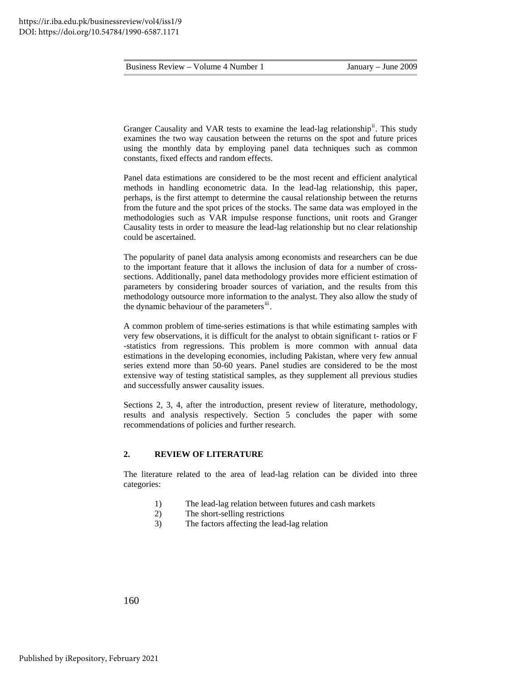Granger Causality and VAR tests to examine the lead-lag relationship<sup>11</sup>. This study examines the two way causation between the returns on the spot and future prices using the monthly data by employing panel data techniques such as common constants, fixed effects and random effects.

Panel data estimations are considered to be the most recent and efficient analytical methods in handling econometric data. In the lead-lag relationship, this paper, perhaps, is the first attempt to determine the causal relationship between the returns from the future and the spot prices of the stocks. The same data was employed in the methodologies such as VAR impulse response functions, unit roots and Granger Causality tests in order to measure the lead-lag relationship but no clear relationship could be ascertained.

The popularity of panel data analysis among economists and researchers can be due to the important feature that it allows the inclusion of data for a number of crosssections. Additionally, panel data methodology provides more efficient estimation of parameters by considering broader sources of variation, and the results from this methodology outsource more information to the analyst. They also allow the study of the dynamic behaviour of the parameters<sup>[iii](#page-18-1)</sup>.

A common problem of time-series estimations is that while estimating samples with very few observations, it is difficult for the analyst to obtain significant t- ratios or F -statistics from regressions. This problem is more common with annual data estimations in the developing economies, including Pakistan, where very few annual series extend more than 50-60 years. Panel studies are considered to be the most extensive way of testing statistical samples, as they supplement all previous studies and successfully answer causality issues.

Sections 2, 3, 4, after the introduction, present review of literature, methodology, results and analysis respectively. Section 5 concludes the paper with some recommendations of policies and further research.

## **2. REVIEW OF LITERATURE**

The literature related to the area of lead-lag relation can be divided into three categories:

- 1) The lead-lag relation between futures and cash markets
- 2) The short-selling restrictions
- 3) The factors affecting the lead-lag relation

160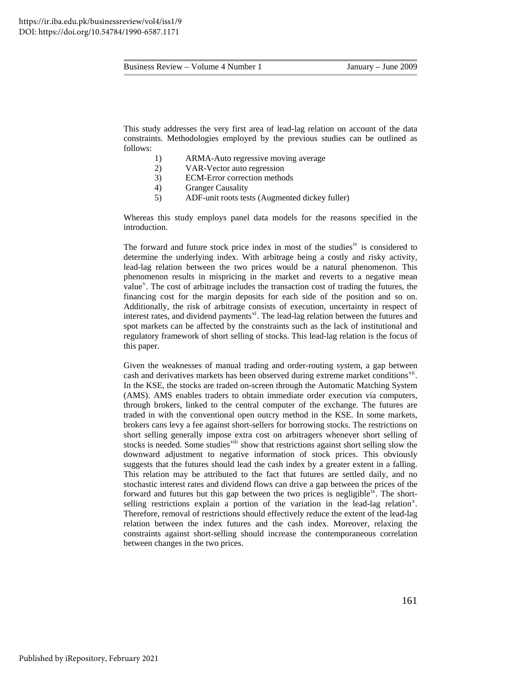This study addresses the very first area of lead-lag relation on account of the data constraints. Methodologies employed by the previous studies can be outlined as follows:

- 1) ARMA-Auto regressive moving average
- 2) VAR-Vector auto regression
- 3) ECM-Error correction methods
- 4) Granger Causality
- 5) ADF-unit roots tests (Augmented dickey fuller)

Whereas this study employs panel data models for the reasons specified in the introduction.

The forward and future stock price index in most of the studies<sup>[iv](#page-18-1)</sup> is considered to determine the underlying index. With arbitrage being a costly and risky activity, lead-lag relation between the two prices would be a natural phenomenon. This phenomenon results in mispricing in the market and reverts to a negative mean [v](#page-18-1)alue<sup>v</sup>. The cost of arbitrage includes the transaction cost of trading the futures, the financing cost for the margin deposits for each side of the position and so on. Additionally, the risk of arbitrage consists of execution, uncertainty in respect of interest rates, and di[vi](#page-18-1)dend payments<sup>vi</sup>. The lead-lag relation between the futures and spot markets can be affected by the constraints such as the lack of institutional and regulatory framework of short selling of stocks. This lead-lag relation is the focus of this paper.

Given the weaknesses of manual trading and order-routing system, a gap between cash and derivatives markets has been observed during extreme market conditions<sup>[vii](#page-18-1)</sup>. In the KSE, the stocks are traded on-screen through the Automatic Matching System (AMS). AMS enables traders to obtain immediate order execution via computers, through brokers, linked to the central computer of the exchange. The futures are traded in with the conventional open outcry method in the KSE. In some markets, brokers cans levy a fee against short-sellers for borrowing stocks. The restrictions on short selling generally impose extra cost on arbitragers whenever short selling of stocks is needed. Some studies<sup>[viii](#page-18-1)</sup> show that restrictions against short selling slow the downward adjustment to negative information of stock prices. This obviously suggests that the futures should lead the cash index by a greater extent in a falling. This relation may be attributed to the fact that futures are settled daily, and no stochastic interest rates and dividend flows can drive a gap between the prices of the forward and futures but this gap between the two prices is negligible<sup> $x$ </sup>. The shortselling restrictions e[x](#page-18-1)plain a portion of the variation in the lead-lag relation<sup>x</sup>. Therefore, removal of restrictions should effectively reduce the extent of the lead-lag relation between the index futures and the cash index. Moreover, relaxing the constraints against short-selling should increase the contemporaneous correlation between changes in the two prices.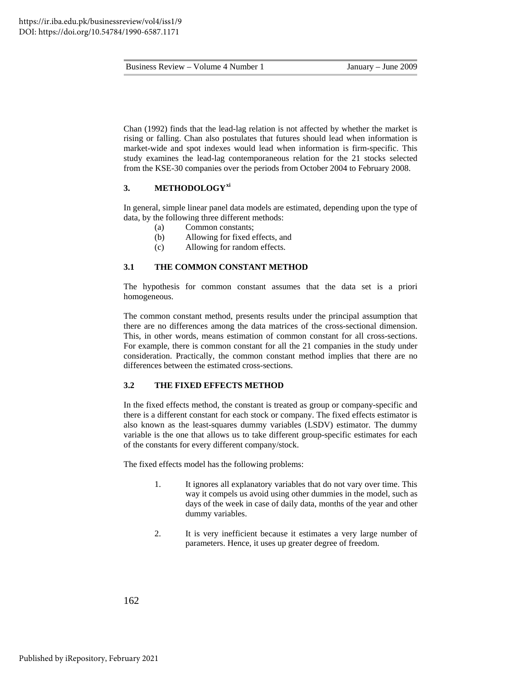Chan (1992) finds that the lead-lag relation is not affected by whether the market is rising or falling. Chan also postulates that futures should lead when information is market-wide and spot indexes would lead when information is firm-specific. This study examines the lead-lag contemporaneous relation for the 21 stocks selected from the KSE-30 companies over the periods from October 2004 to February 2008.

# **3. METHODOLOGY[xi](#page-18-1)**

In general, simple linear panel data models are estimated, depending upon the type of data, by the following three different methods:

- (a) Common constants;
- (b) Allowing for fixed effects, and
- (c) Allowing for random effects.

# **3.1 THE COMMON CONSTANT METHOD**

The hypothesis for common constant assumes that the data set is a priori homogeneous.

The common constant method, presents results under the principal assumption that there are no differences among the data matrices of the cross-sectional dimension. This, in other words, means estimation of common constant for all cross-sections. For example, there is common constant for all the 21 companies in the study under consideration. Practically, the common constant method implies that there are no differences between the estimated cross-sections.

#### **3.2 THE FIXED EFFECTS METHOD**

In the fixed effects method, the constant is treated as group or company-specific and there is a different constant for each stock or company. The fixed effects estimator is also known as the least-squares dummy variables (LSDV) estimator. The dummy variable is the one that allows us to take different group-specific estimates for each of the constants for every different company/stock.

The fixed effects model has the following problems:

- 1. It ignores all explanatory variables that do not vary over time. This way it compels us avoid using other dummies in the model, such as days of the week in case of daily data, months of the year and other dummy variables.
- 2. It is very inefficient because it estimates a very large number of parameters. Hence, it uses up greater degree of freedom.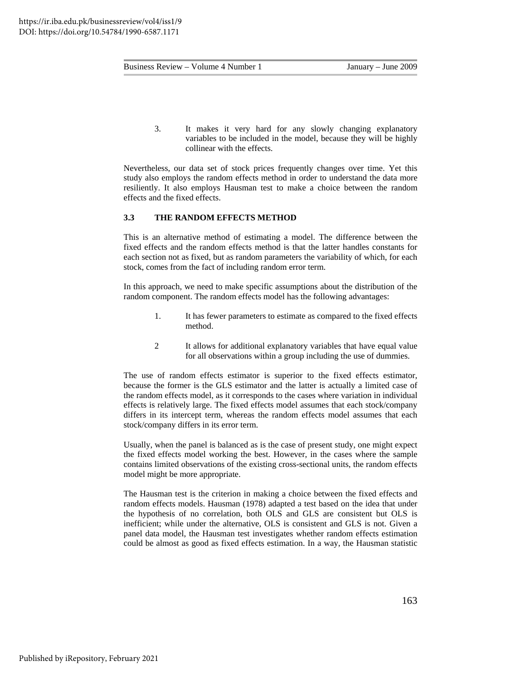3. It makes it very hard for any slowly changing explanatory variables to be included in the model, because they will be highly collinear with the effects.

Nevertheless, our data set of stock prices frequently changes over time. Yet this study also employs the random effects method in order to understand the data more resiliently. It also employs Hausman test to make a choice between the random effects and the fixed effects.

## **3.3 THE RANDOM EFFECTS METHOD**

This is an alternative method of estimating a model. The difference between the fixed effects and the random effects method is that the latter handles constants for each section not as fixed, but as random parameters the variability of which, for each stock, comes from the fact of including random error term.

In this approach, we need to make specific assumptions about the distribution of the random component. The random effects model has the following advantages:

- 1. It has fewer parameters to estimate as compared to the fixed effects method.
- 2 It allows for additional explanatory variables that have equal value for all observations within a group including the use of dummies.

The use of random effects estimator is superior to the fixed effects estimator, because the former is the GLS estimator and the latter is actually a limited case of the random effects model, as it corresponds to the cases where variation in individual effects is relatively large. The fixed effects model assumes that each stock/company differs in its intercept term, whereas the random effects model assumes that each stock/company differs in its error term.

Usually, when the panel is balanced as is the case of present study, one might expect the fixed effects model working the best. However, in the cases where the sample contains limited observations of the existing cross-sectional units, the random effects model might be more appropriate.

The Hausman test is the criterion in making a choice between the fixed effects and random effects models. Hausman (1978) adapted a test based on the idea that under the hypothesis of no correlation, both OLS and GLS are consistent but OLS is inefficient; while under the alternative, OLS is consistent and GLS is not. Given a panel data model, the Hausman test investigates whether random effects estimation could be almost as good as fixed effects estimation. In a way, the Hausman statistic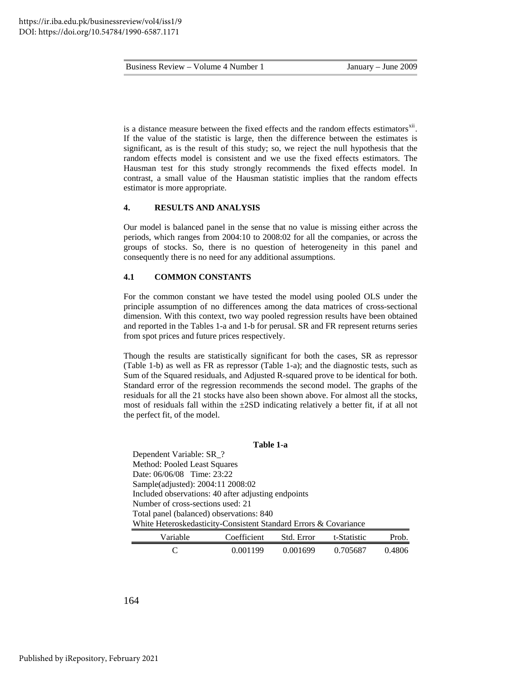is a distance measure between the fixed effects and the random effects estimators $x_{\text{u}}$ . If the value of the statistic is large, then the difference between the estimates is significant, as is the result of this study; so, we reject the null hypothesis that the random effects model is consistent and we use the fixed effects estimators. The Hausman test for this study strongly recommends the fixed effects model. In contrast, a small value of the Hausman statistic implies that the random effects estimator is more appropriate.

### **4. RESULTS AND ANALYSIS**

Our model is balanced panel in the sense that no value is missing either across the periods, which ranges from 2004:10 to 2008:02 for all the companies, or across the groups of stocks. So, there is no question of heterogeneity in this panel and consequently there is no need for any additional assumptions.

### **4.1 COMMON CONSTANTS**

For the common constant we have tested the model using pooled OLS under the principle assumption of no differences among the data matrices of cross-sectional dimension. With this context, two way pooled regression results have been obtained and reported in the Tables 1-a and 1-b for perusal. SR and FR represent returns series from spot prices and future prices respectively.

Though the results are statistically significant for both the cases, SR as repressor (Table 1-b) as well as FR as repressor (Table 1-a); and the diagnostic tests, such as Sum of the Squared residuals, and Adjusted R-squared prove to be identical for both. Standard error of the regression recommends the second model. The graphs of the residuals for all the 21 stocks have also been shown above. For almost all the stocks, most of residuals fall within the  $\pm 2SD$  indicating relatively a better fit, if at all not the perfect fit, of the model.

#### **Table 1-a**

Dependent Variable: SR\_? Method: Pooled Least Squares Date: 06/06/08 Time: 23:22 Sample(adjusted): 2004:11 2008:02 Included observations: 40 after adjusting endpoints Number of cross-sections used: 21 Total panel (balanced) observations: 840 White Heteroskedasticity-Consistent Standard Errors & Covariance

| Variable | Coefficient | Std. Error | t-Statistic | Prob.  |
|----------|-------------|------------|-------------|--------|
|          | 0.001199    | 0.001699   | 0.705687    | 0.4806 |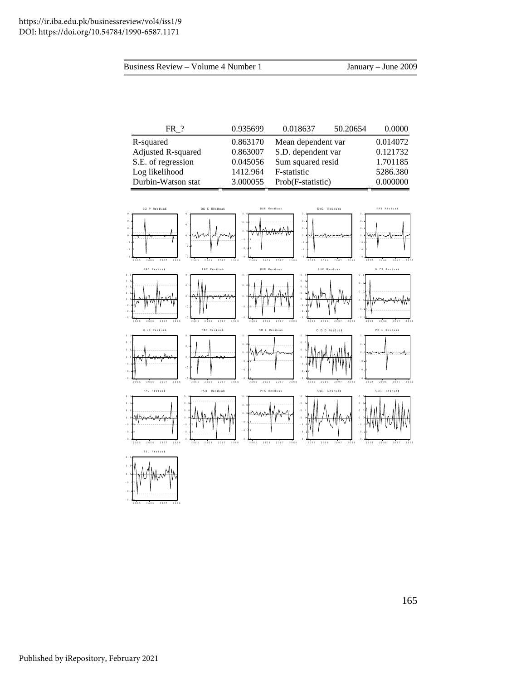| Business Review – Volume 4 Number 1 | January - June 2009 |
|-------------------------------------|---------------------|
|                                     |                     |

| FR ?               | 0.935699 | 0.018637           | 50.20654 | 0.0000   |
|--------------------|----------|--------------------|----------|----------|
| R-squared          | 0.863170 | Mean dependent var |          | 0.014072 |
| Adjusted R-squared | 0.863007 | S.D. dependent var | 0.121732 |          |
| S.E. of regression | 0.045056 | Sum squared resid  |          | 1.701185 |
| Log likelihood     | 1412.964 | F-statistic        |          | 5286.380 |
| Durbin-Watson stat | 3.000055 | Prob(F-statistic)  |          | 0.000000 |



- 0. 06 - 0. 04

 $2006 200$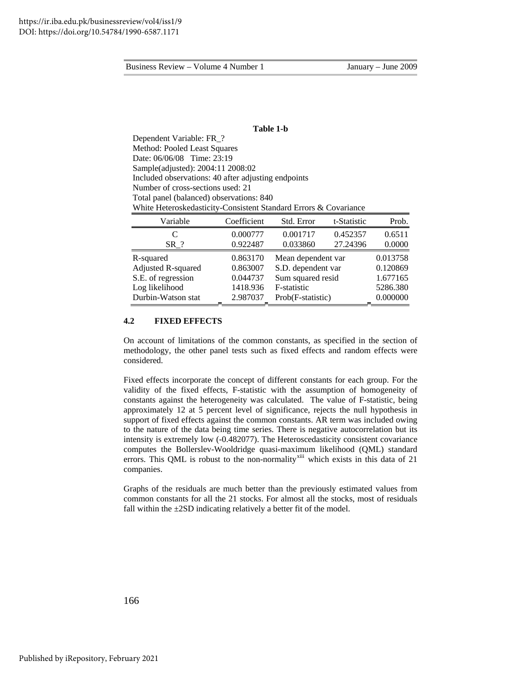#### **Table 1-b**

Dependent Variable: FR\_? Method: Pooled Least Squares Date: 06/06/08 Time: 23:19 Sample(adjusted): 2004:11 2008:02 Included observations: 40 after adjusting endpoints Number of cross-sections used: 21 Total panel (balanced) observations: 840 White Heteroskedasticity-Consistent Standard Errors & Covariance

| Variable           | Coefficient | Std. Error         | t-Statistic | Prob.    |
|--------------------|-------------|--------------------|-------------|----------|
| C                  | 0.000777    | 0.001717           | 0.452357    | 0.6511   |
| SR?                | 0.922487    | 0.033860           | 27.24396    | 0.0000   |
| R-squared          | 0.863170    | Mean dependent var |             | 0.013758 |
| Adjusted R-squared | 0.863007    | S.D. dependent var |             | 0.120869 |
| S.E. of regression | 0.044737    | Sum squared resid  |             | 1.677165 |
| Log likelihood     | 1418.936    | F-statistic        |             | 5286.380 |
| Durbin-Watson stat | 2.987037    | Prob(F-statistic)  |             | 0.000000 |

# **4.2 FIXED EFFECTS**

On account of limitations of the common constants, as specified in the section of methodology, the other panel tests such as fixed effects and random effects were considered.

Fixed effects incorporate the concept of different constants for each group. For the validity of the fixed effects, F-statistic with the assumption of homogeneity of constants against the heterogeneity was calculated. The value of F-statistic, being approximately 12 at 5 percent level of significance, rejects the null hypothesis in support of fixed effects against the common constants. AR term was included owing to the nature of the data being time series. There is negative autocorrelation but its intensity is extremely low (-0.482077). The Heteroscedasticity consistent covariance computes the Bollerslev-Wooldridge quasi-maximum likelihood (QML) standard errors. This QML is robust to the non-normality<sup>[xiii](#page-18-1)</sup> which exists in this data of 21 companies.

Graphs of the residuals are much better than the previously estimated values from common constants for all the 21 stocks. For almost all the stocks, most of residuals fall within the  $\pm 2SD$  indicating relatively a better fit of the model.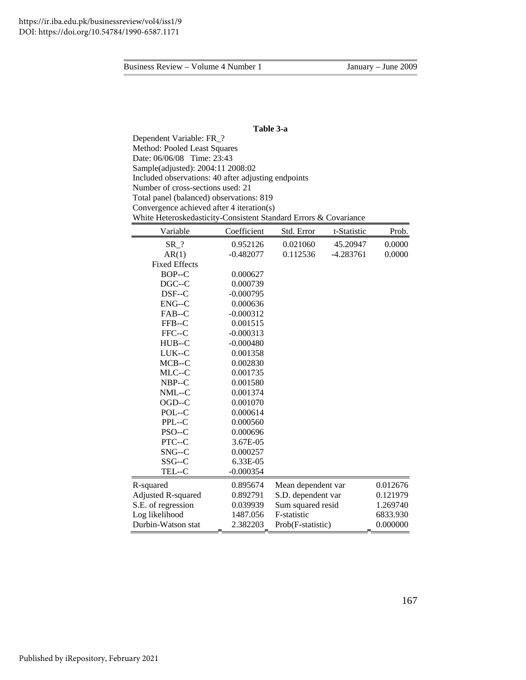#### **Table 3-a**

Dependent Variable: FR\_? Method: Pooled Least Squares Date: 06/06/08 Time: 23:43 Sample(adjusted): 2004:11 2008:02 Included observations: 40 after adjusting endpoints Number of cross-sections used: 21 Total panel (balanced) observations: 819 Convergence achieved after 4 iteration(s) White Heteroskedasticity-Consistent Standard Errors & Covariance

| Variable                  | Coefficient | Std. Error         | t-Statistic | Prob.    |
|---------------------------|-------------|--------------------|-------------|----------|
| SR?                       | 0.952126    | 0.021060           | 45.20947    | 0.0000   |
| AR(1)                     | $-0.482077$ | 0.112536           | $-4.283761$ | 0.0000   |
| <b>Fixed Effects</b>      |             |                    |             |          |
| BOP--C                    | 0.000627    |                    |             |          |
| DGC--C                    | 0.000739    |                    |             |          |
| DSF--C                    | $-0.000795$ |                    |             |          |
| ENG--C                    | 0.000636    |                    |             |          |
| FAB--C                    | $-0.000312$ |                    |             |          |
| FFB--C                    | 0.001515    |                    |             |          |
| FFC--C                    | $-0.000313$ |                    |             |          |
| HUB--C                    | $-0.000480$ |                    |             |          |
| LUK--C                    | 0.001358    |                    |             |          |
| MCB--C                    | 0.002830    |                    |             |          |
| MLC--C                    | 0.001735    |                    |             |          |
| NBP--C                    | 0.001580    |                    |             |          |
| $NML-C$                   | 0.001374    |                    |             |          |
| OGD--C                    | 0.001070    |                    |             |          |
| POL--C                    | 0.000614    |                    |             |          |
| PPL--C                    | 0.000560    |                    |             |          |
| PSO--C                    | 0.000696    |                    |             |          |
| PTC--C                    | 3.67E-05    |                    |             |          |
| SNG--C                    | 0.000257    |                    |             |          |
| $SSG-C$                   | 6.33E-05    |                    |             |          |
| TEL--C                    | $-0.000354$ |                    |             |          |
| R-squared                 | 0.895674    | Mean dependent var |             | 0.012676 |
| <b>Adjusted R-squared</b> | 0.892791    | S.D. dependent var |             | 0.121979 |
| S.E. of regression        | 0.039939    | Sum squared resid  |             | 1.269740 |
| Log likelihood            | 1487.056    | F-statistic        |             | 6833.930 |
| Durbin-Watson stat        | 2.382203    | Prob(F-statistic)  |             | 0.000000 |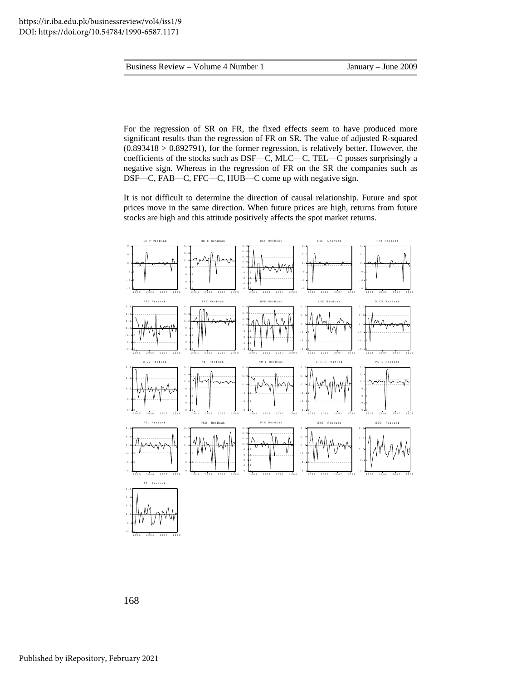For the regression of SR on FR, the fixed effects seem to have produced more significant results than the regression of FR on SR. The value of adjusted R-squared (0.893418 > 0.892791), for the former regression, is relatively better. However, the coefficients of the stocks such as DSF—C, MLC—C, TEL—C posses surprisingly a negative sign. Whereas in the regression of FR on the SR the companies such as DSF—C, FAB—C, FFC—C, HUB—C come up with negative sign.

It is not difficult to determine the direction of causal relationship. Future and spot prices move in the same direction. When future prices are high, returns from future stocks are high and this attitude positively affects the spot market returns.



168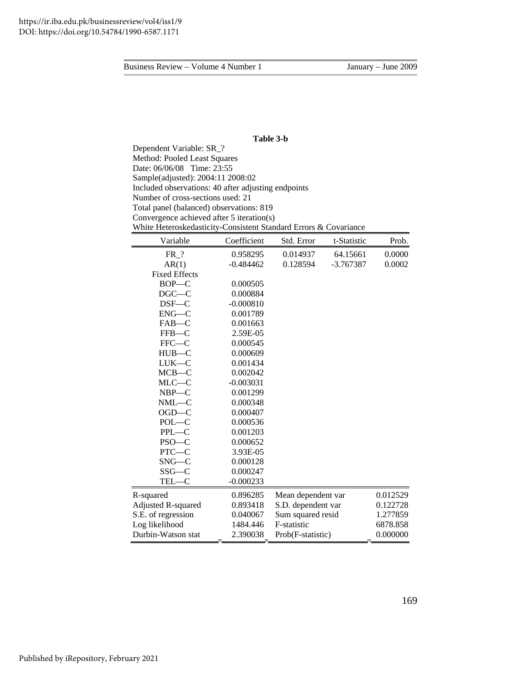#### **Table 3-b**

Dependent Variable: SR\_? Method: Pooled Least Squares Date: 06/06/08 Time: 23:55 Sample(adjusted): 2004:11 2008:02 Included observations: 40 after adjusting endpoints Number of cross-sections used: 21 Total panel (balanced) observations: 819 Convergence achieved after 5 iteration(s) White Heteroskedasticity-Consistent Standard Errors & Covariance

| Variable             | Coefficient | Std. Error         | t-Statistic | Prob.    |
|----------------------|-------------|--------------------|-------------|----------|
| $FR$ ?               | 0.958295    | 0.014937           | 64.15661    | 0.0000   |
| AR(1)                | $-0.484462$ | 0.128594           | $-3.767387$ | 0.0002   |
| <b>Fixed Effects</b> |             |                    |             |          |
| $BOP$ — $C$          | 0.000505    |                    |             |          |
| $DGC$ — $C$          | 0.000884    |                    |             |          |
| $DSF - C$            | $-0.000810$ |                    |             |          |
| $ENG-C$              | 0.001789    |                    |             |          |
| $FAB$ —C             | 0.001663    |                    |             |          |
| $FFB - C$            | 2.59E-05    |                    |             |          |
| $FFC$ — $C$          | 0.000545    |                    |             |          |
| $HUB$ — $C$          | 0.000609    |                    |             |          |
| LUK—C                | 0.001434    |                    |             |          |
| $MCB - C$            | 0.002042    |                    |             |          |
| $MLC - C$            | $-0.003031$ |                    |             |          |
| $NBP$ — $C$          | 0.001299    |                    |             |          |
| NML—C                | 0.000348    |                    |             |          |
| $OGD$ —C             | 0.000407    |                    |             |          |
| POL—C                | 0.000536    |                    |             |          |
| $PPL \rightarrow C$  | 0.001203    |                    |             |          |
| $PSO-C$              | 0.000652    |                    |             |          |
| $PTC - C$            | 3.93E-05    |                    |             |          |
| $SNG-C$              | 0.000128    |                    |             |          |
| $SSG - C$            | 0.000247    |                    |             |          |
| TEL-C                | $-0.000233$ |                    |             |          |
| R-squared            | 0.896285    | Mean dependent var |             | 0.012529 |
| Adjusted R-squared   | 0.893418    | S.D. dependent var |             | 0.122728 |
| S.E. of regression   | 0.040067    | Sum squared resid  |             | 1.277859 |
| Log likelihood       | 1484.446    | F-statistic        |             | 6878.858 |
| Durbin-Watson stat   | 2.390038    | Prob(F-statistic)  |             | 0.000000 |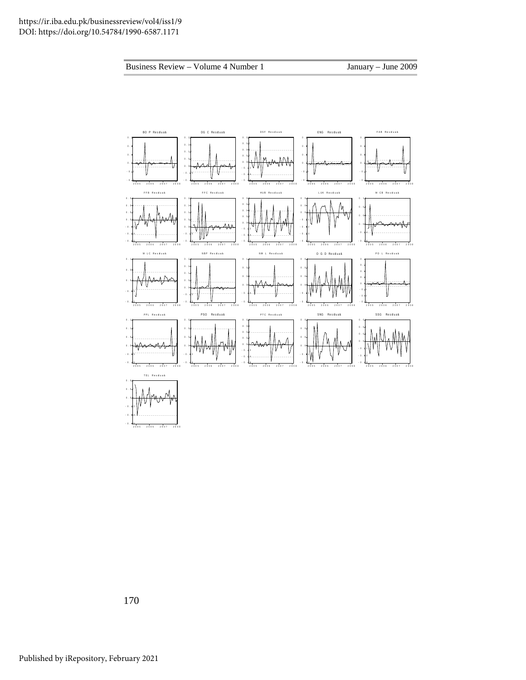



- 0. 06 2005 2006 2007 2008

170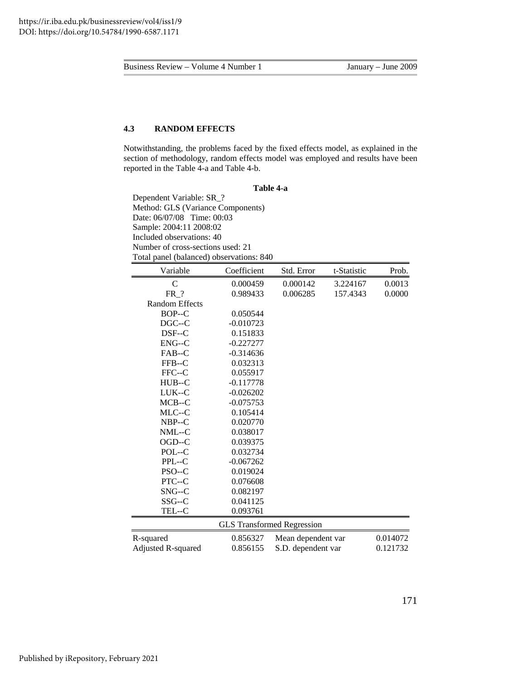# **4.3 RANDOM EFFECTS**

Notwithstanding, the problems faced by the fixed effects model, as explained in the section of methodology, random effects model was employed and results have been reported in the Table 4-a and Table 4-b.

#### **Table 4-a**

Dependent Variable: SR\_? Method: GLS (Variance Components) Date: 06/07/08 Time: 00:03 Sample: 2004:11 2008:02 Included observations: 40 Number of cross-sections used: 21 Total panel (balanced) observations: 840

| Variable                  | Coefficient | Std. Error                        | t-Statistic | Prob.    |
|---------------------------|-------------|-----------------------------------|-------------|----------|
| C                         | 0.000459    | 0.000142                          | 3.224167    | 0.0013   |
| $FR$ ?                    | 0.989433    | 0.006285                          | 157.4343    | 0.0000   |
| <b>Random Effects</b>     |             |                                   |             |          |
| $BOP-C$                   | 0.050544    |                                   |             |          |
| DGC--C                    | $-0.010723$ |                                   |             |          |
| $DSF-C$                   | 0.151833    |                                   |             |          |
| ENG--C                    | $-0.227277$ |                                   |             |          |
| $FAB-C$                   | $-0.314636$ |                                   |             |          |
| FFB--C                    | 0.032313    |                                   |             |          |
| $FFC-C$                   | 0.055917    |                                   |             |          |
| HUB--C                    | $-0.117778$ |                                   |             |          |
| LUK--C                    | $-0.026202$ |                                   |             |          |
| $MCB-C$                   | $-0.075753$ |                                   |             |          |
| MLC--C                    | 0.105414    |                                   |             |          |
| $NBP-C$                   | 0.020770    |                                   |             |          |
| $NML-C$                   | 0.038017    |                                   |             |          |
| $OGD$ --C                 | 0.039375    |                                   |             |          |
| POL--C                    | 0.032734    |                                   |             |          |
| PPL--C                    | $-0.067262$ |                                   |             |          |
| PSO--C                    | 0.019024    |                                   |             |          |
| PTC--C                    | 0.076608    |                                   |             |          |
| $SNG-C$                   | 0.082197    |                                   |             |          |
| $SSG-C$                   | 0.041125    |                                   |             |          |
| TEL--C                    | 0.093761    |                                   |             |          |
|                           |             | <b>GLS</b> Transformed Regression |             |          |
| R-squared                 | 0.856327    | Mean dependent var                |             | 0.014072 |
| <b>Adjusted R-squared</b> | 0.856155    | S.D. dependent var                |             | 0.121732 |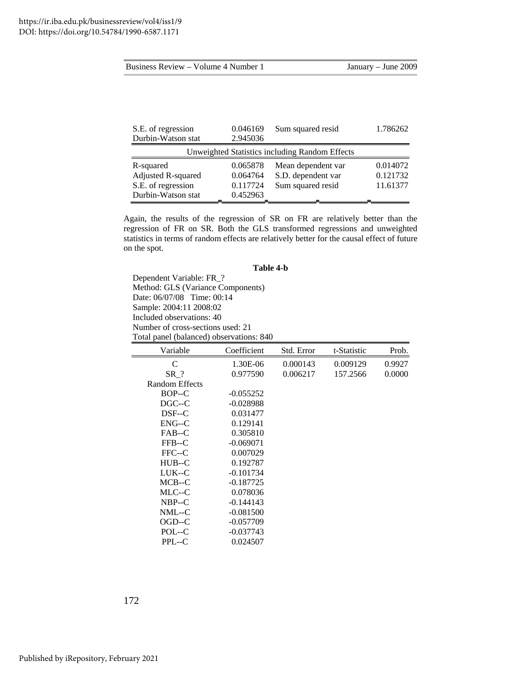| Business Review – Volume 4 Number 1 | January – June 2009 |
|-------------------------------------|---------------------|
|-------------------------------------|---------------------|

| S.E. of regression | 0.046169 | Sum squared resid                              | 1.786262 |
|--------------------|----------|------------------------------------------------|----------|
| Durbin-Watson stat | 2.945036 |                                                |          |
|                    |          | Unweighted Statistics including Random Effects |          |
| R-squared          | 0.065878 | Mean dependent var                             | 0.014072 |
| Adjusted R-squared | 0.064764 | S.D. dependent var                             | 0.121732 |
| S.E. of regression | 0.117724 | Sum squared resid                              | 11.61377 |
| Durbin-Watson stat | 0.452963 |                                                |          |

Again, the results of the regression of SR on FR are relatively better than the regression of FR on SR. Both the GLS transformed regressions and unweighted statistics in terms of random effects are relatively better for the causal effect of future on the spot.

#### **Table 4-b**

Dependent Variable: FR\_? Method: GLS (Variance Components) Date: 06/07/08 Time: 00:14 Sample: 2004:11 2008:02 Included observations: 40 Number of cross-sections used: 21 Total panel (balanced) observations: 840

| Variable              | Coefficient | Std. Error | t-Statistic | Prob.  |
|-----------------------|-------------|------------|-------------|--------|
| C                     | 1.30E-06    | 0.000143   | 0.009129    | 0.9927 |
| $SR$ ?                | 0.977590    | 0.006217   | 157.2566    | 0.0000 |
| <b>Random Effects</b> |             |            |             |        |
| $BOP-C$               | $-0.055252$ |            |             |        |
| $DGC-C$               | $-0.028988$ |            |             |        |
| $DSF-C$               | 0.031477    |            |             |        |
| $ENG-C$               | 0.129141    |            |             |        |
| $FAB-C$               | 0.305810    |            |             |        |
| $FFB-C$               | $-0.069071$ |            |             |        |
| FFC--C                | 0.007029    |            |             |        |
| $HUB-C$               | 0.192787    |            |             |        |
| LUK--C                | $-0.101734$ |            |             |        |
| $MCB-C$               | $-0.187725$ |            |             |        |
| MLC--C                | 0.078036    |            |             |        |
| $NBP-C$               | $-0.144143$ |            |             |        |
| $NML-C$               | $-0.081500$ |            |             |        |
| $OGD-C$               | $-0.057709$ |            |             |        |
| POL--C                | $-0.037743$ |            |             |        |
| PPL--C                | 0.024507    |            |             |        |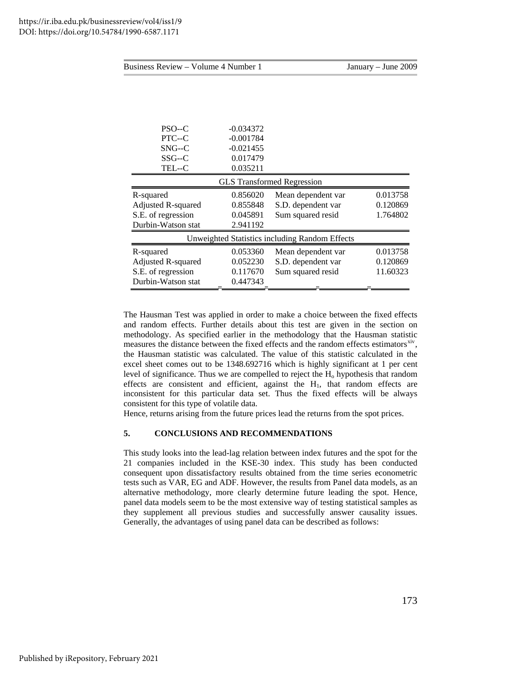| $-0.034372$ |                    |                                                                                                           |
|-------------|--------------------|-----------------------------------------------------------------------------------------------------------|
| $-0.001784$ |                    |                                                                                                           |
| $-0.021455$ |                    |                                                                                                           |
| 0.017479    |                    |                                                                                                           |
| 0.035211    |                    |                                                                                                           |
|             |                    |                                                                                                           |
| 0.856020    |                    | 0.013758                                                                                                  |
| 0.855848    | S.D. dependent var | 0.120869                                                                                                  |
| 0.045891    | Sum squared resid  | 1.764802                                                                                                  |
| 2.941192    |                    |                                                                                                           |
|             |                    |                                                                                                           |
| 0.053360    | Mean dependent var | 0.013758                                                                                                  |
| 0.052230    | S.D. dependent var | 0.120869                                                                                                  |
| 0.117670    | Sum squared resid  | 11.60323                                                                                                  |
| 0.447343    |                    |                                                                                                           |
|             |                    | <b>GLS</b> Transformed Regression<br>Mean dependent var<br>Unweighted Statistics including Random Effects |

The Hausman Test was applied in order to make a choice between the fixed effects and random effects. Further details about this test are given in the section on methodology. As specified earlier in the methodology that the Hausman statistic measures the distance between the fixed effects and the random effects estimators<sup>[xiv](#page-18-1)</sup>, the Hausman statistic was calculated. The value of this statistic calculated in the excel sheet comes out to be 1348.692716 which is highly significant at 1 per cent level of significance. Thus we are compelled to reject the  $H_0$  hypothesis that random effects are consistent and efficient, against the  $H_1$ , that random effects are inconsistent for this particular data set. Thus the fixed effects will be always consistent for this type of volatile data.

Hence, returns arising from the future prices lead the returns from the spot prices.

#### **5. CONCLUSIONS AND RECOMMENDATIONS**

This study looks into the lead-lag relation between index futures and the spot for the 21 companies included in the KSE-30 index. This study has been conducted consequent upon dissatisfactory results obtained from the time series econometric tests such as VAR, EG and ADF. However, the results from Panel data models, as an alternative methodology, more clearly determine future leading the spot. Hence, panel data models seem to be the most extensive way of testing statistical samples as they supplement all previous studies and successfully answer causality issues. Generally, the advantages of using panel data can be described as follows: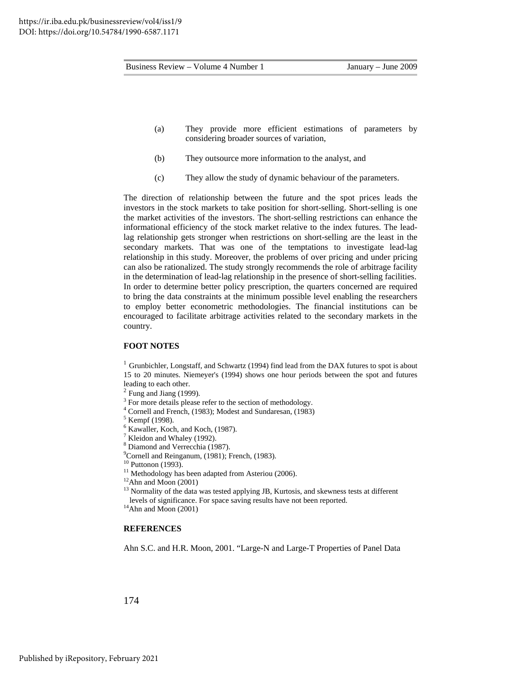- (a) They provide more efficient estimations of parameters by considering broader sources of variation,
- (b) They outsource more information to the analyst, and
- (c) They allow the study of dynamic behaviour of the parameters.

The direction of relationship between the future and the spot prices leads the investors in the stock markets to take position for short-selling. Short-selling is one the market activities of the investors. The short-selling restrictions can enhance the informational efficiency of the stock market relative to the index futures. The leadlag relationship gets stronger when restrictions on short-selling are the least in the secondary markets. That was one of the temptations to investigate lead-lag relationship in this study. Moreover, the problems of over pricing and under pricing can also be rationalized. The study strongly recommends the role of arbitrage facility in the determination of lead-lag relationship in the presence of short-selling facilities. In order to determine better policy prescription, the quarters concerned are required to bring the data constraints at the minimum possible level enabling the researchers to employ better econometric methodologies. The financial institutions can be encouraged to facilitate arbitrage activities related to the secondary markets in the country.

#### **FOOT NOTES**

 $1$  Grunbichler, Longstaff, and Schwartz (1994) find lead from the DAX futures to spot is about 15 to 20 minutes. Niemeyer's (1994) shows one hour periods between the spot and futures leading to each other.<br><sup>2</sup> Fung and Jiang (1999).

- 
- $3$  For more details please refer to the section of methodology.
- 4 Cornell and French, (1983); Modest and Sundaresan, (1983)
- 5 Kempf (1998).
- <sup>6</sup> Kawaller, Koch, and Koch, (1987).
- 7 Kleidon and Whaley (1992).
- 8 Diamond and Verrecchia (1987).
- <sup>9</sup>Cornell and Reinganum, (1981); French, (1983).
- <sup>10</sup> Puttonon (1993).
- $11$  Methodology has been adapted from Asteriou (2006).
- $12$ Ahn and Moon (2001)
- <sup>13</sup> Normality of the data was tested applying JB, Kurtosis, and skewness tests at different levels of significance. For space saving results have not been reported.  $14$ Ahn and Moon (2001)
- 

## **REFERENCES**

Ahn S.C. and H.R. Moon, 2001. "Large-N and Large-T Properties of Panel Data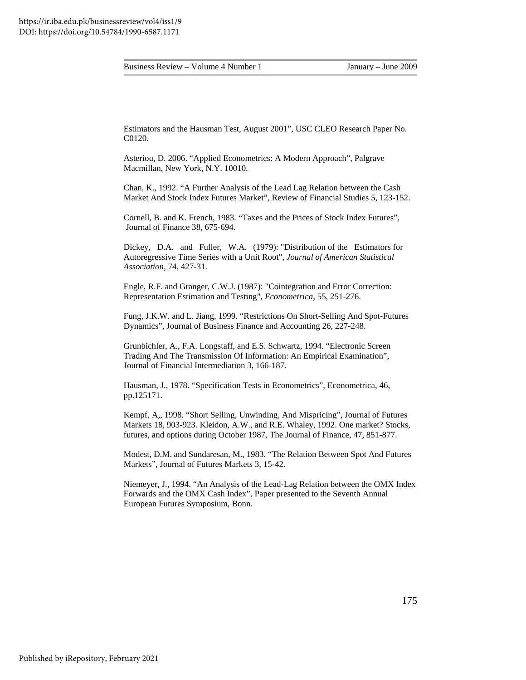Estimators and the Hausman Test, August 2001", USC CLEO Research Paper No. C0120.

Asteriou, D. 2006. "Applied Econometrics: A Modern Approach", Palgrave Macmillan, New York, N.Y. 10010.

Chan, K., 1992. "A Further Analysis of the Lead Lag Relation between the Cash Market And Stock Index Futures Market", Review of Financial Studies 5, 123-152.

Cornell, B. and K. French, 1983. "Taxes and the Prices of Stock Index Futures", Journal of Finance 38, 675-694.

Dickey, D.A. and Fuller, W.A. (1979): "Distribution of the Estimators for Autoregressive Time Series with a Unit Root", *Journal of American Statistical Association*, 74, 427-31.

Engle, R.F. and Granger, C.W.J. (1987): "Cointegration and Error Correction: Representation Estimation and Testing", *Econometrica*, 55, 251-276.

Fung, J.K.W. and L. Jiang, 1999. "Restrictions On Short-Selling And Spot-Futures Dynamics", Journal of Business Finance and Accounting 26, 227-248.

Grunbichler, A., F.A. Longstaff, and E.S. Schwartz, 1994. "Electronic Screen Trading And The Transmission Of Information: An Empirical Examination", Journal of Financial Intermediation 3, 166-187.

Hausman, J., 1978. "Specification Tests in Econometrics", Econometrica, 46, pp.125171.

Kempf, A,, 1998. "Short Selling, Unwinding, And Mispricing", Journal of Futures Markets 18, 903-923. Kleidon, A.W., and R.E. Whaley, 1992. One market? Stocks, futures, and options during October 1987, The Journal of Finance, 47, 851-877.

Modest, D.M. and Sundaresan, M., 1983. "The Relation Between Spot And Futures Markets", Journal of Futures Markets 3, 15-42.

Niemeyer, J., 1994. "An Analysis of the Lead-Lag Relation between the OMX Index Forwards and the OMX Cash Index", Paper presented to the Seventh Annual European Futures Symposium, Bonn.